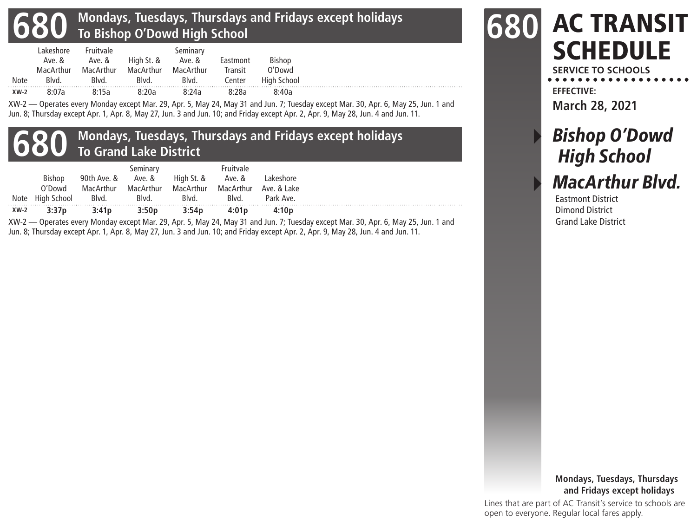### **680 Mondays, Tuesdays, Thursdays and Fridays except holidays To Bishop O'Dowd High School**

|             | Lakeshore | Fruitvale |            | Seminary  |          |               |  |
|-------------|-----------|-----------|------------|-----------|----------|---------------|--|
|             | Ave. &    | Ave. &    | High St. & | Ave. &    | Eastmont | <b>Bishop</b> |  |
|             | MacArthur | MacArthur | MacArthur  | MacArthur | Transit  | O'Dowd        |  |
| <b>Note</b> | Blvd.     | Blvd.     | Blvd.      | Blvd.     | Center   | Hiah School   |  |
| $XW-2$      | 8:07a     | 8:15a     | 8:20a      | 8:24a     | 8:28a    | 8:40a         |  |

XW-2 — Operates every Monday except Mar. 29, Apr. 5, May 24, May 31 and Jun. 7; Tuesday except Mar. 30, Apr. 6, May 25, Jun. 1 and Jun. 8; Thursday except Apr. 1, Apr. 8, May 27, Jun. 3 and Jun. 10; and Friday except Apr. 2, Apr. 9, May 28, Jun. 4 and Jun. 11.

#### **680 Mondays, Tuesdays, Thursdays and Fridays except holidays To Grand Lake District**

|             | <b>Bishop</b><br>O'Dowd | 90th Ave. &<br>MacArthur | Seminary<br>Ave. &<br>MacArthur | High St. &<br><b>MacArthur</b> | Fruitvale<br>Ave. &<br>MacArthur | Lakeshore<br>Ave. & Lake |
|-------------|-------------------------|--------------------------|---------------------------------|--------------------------------|----------------------------------|--------------------------|
| <b>Note</b> | High School             | Blvd.                    | Blvd.                           | Blvd.                          | Blvd.                            | Park Ave.                |
| $XW-2$      | 3:37p                   | 3:41p                    | 3:50p                           | 3:54p                          | 4:01p                            | 4:10p                    |

XW-2 — Operates every Monday except Mar. 29, Apr. 5, May 24, May 31 and Jun. 7; Tuesday except Mar. 30, Apr. 6, May 25, Jun. 1 and Jun. 8; Thursday except Apr. 1, Apr. 8, May 27, Jun. 3 and Jun. 10; and Friday except Apr. 2, Apr. 9, May 28, Jun. 4 and Jun. 11.

## AC TRANSIT **SCHEDULE 680**

**SERVICE TO SCHOOLS EFFECTIVE: March 28, 2021**

# **Bishop O'Dowd** High School

# MacArthur Blvd.

Eastmont District Dimond District Grand Lake District

#### **Mondays, Tuesdays, Thursdays and Fridays except holidays**

Lines that are part of AC Transit's service to schools are open to everyone. Regular local fares apply.